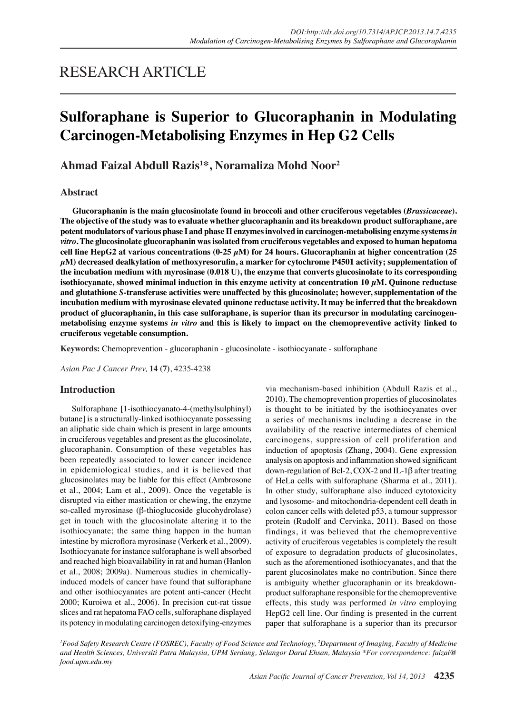## RESEARCH ARTICLE

# **Sulforaphane is Superior to Glucoraphanin in Modulating Carcinogen-Metabolising Enzymes in Hep G2 Cells**

## **Ahmad Faizal Abdull Razis1 \*, Noramaliza Mohd Noor2**

## **Abstract**

**Glucoraphanin is the main glucosinolate found in broccoli and other cruciferous vegetables (***Brassicaceae***). The objective of the study was to evaluate whether glucoraphanin and its breakdown product sulforaphane, are potent modulators of various phase I and phase II enzymes involved in carcinogen-metabolising enzyme systems** *in vitro***. The glucosinolate glucoraphanin was isolated from cruciferous vegetables and exposed to human hepatoma cell line HepG2 at various concentrations (0-25 µM) for 24 hours. Glucoraphanin at higher concentration (25 µM) decreased dealkylation of methoxyresorufin, a marker for cytochrome P4501 activity; supplementation of the incubation medium with myrosinase (0.018 U), the enzyme that converts glucosinolate to its corresponding**  isothiocyanate, showed minimal induction in this enzyme activity at concentration  $10 \mu M$ . Quinone reductase **and glutathione** *S***-transferase activities were unaffected by this glucosinolate; however, supplementation of the incubation medium with myrosinase elevated quinone reductase activity. It may be inferred that the breakdown product of glucoraphanin, in this case sulforaphane, is superior than its precursor in modulating carcinogenmetabolising enzyme systems** *in vitro* **and this is likely to impact on the chemopreventive activity linked to cruciferous vegetable consumption.**

**Keywords:** Chemoprevention - glucoraphanin - glucosinolate - isothiocyanate - sulforaphane

*Asian Pac J Cancer Prev,* **14 (7)**, 4235-4238

## **Introduction**

Sulforaphane [1-isothiocyanato-4-(methylsulphinyl) butane] is a structurally-linked isothiocyanate possessing an aliphatic side chain which is present in large amounts in cruciferous vegetables and present as the glucosinolate, glucoraphanin. Consumption of these vegetables has been repeatedly associated to lower cancer incidence in epidemiological studies, and it is believed that glucosinolates may be liable for this effect (Ambrosone et al., 2004; Lam et al., 2009). Once the vegetable is disrupted via either mastication or chewing, the enzyme so-called myrosinase (β-thioglucoside glucohydrolase) get in touch with the glucosinolate altering it to the isothiocyanate; the same thing happen in the human intestine by microflora myrosinase (Verkerk et al., 2009). Isothiocyanate for instance sulforaphane is well absorbed and reached high bioavailability in rat and human (Hanlon et al., 2008; 2009a). Numerous studies in chemicallyinduced models of cancer have found that sulforaphane and other isothiocyanates are potent anti-cancer (Hecht 2000; Kuroiwa et al., 2006). In precision cut-rat tissue slices and rat hepatoma FAO cells, sulforaphane displayed its potency in modulating carcinogen detoxifying-enzymes via mechanism-based inhibition (Abdull Razis et al., 2010). The chemoprevention properties of glucosinolates is thought to be initiated by the isothiocyanates over a series of mechanisms including a decrease in the availability of the reactive intermediates of chemical carcinogens, suppression of cell proliferation and induction of apoptosis (Zhang, 2004). Gene expression analysis on apoptosis and inflammation showed significant down-regulation of Bcl-2, COX-2 and IL-1β after treating of HeLa cells with sulforaphane (Sharma et al., 2011). In other study, sulforaphane also induced cytotoxicity and lysosome- and mitochondria-dependent cell death in colon cancer cells with deleted p53, a tumour suppressor protein (Rudolf and Cervinka, 2011). Based on those findings, it was believed that the chemopreventive activity of cruciferous vegetables is completely the result of exposure to degradation products of glucosinolates, such as the aforementioned isothiocyanates, and that the parent glucosinolates make no contribution. Since there is ambiguity whether glucoraphanin or its breakdownproduct sulforaphane responsible for the chemopreventive effects, this study was performed *in vitro* employing HepG2 cell line. Our finding is presented in the current paper that sulforaphane is a superior than its precursor

*1 Food Safety Research Centre (FOSREC), Faculty of Food Science and Technology, 2 Department of Imaging, Faculty of Medicine and Health Sciences, Universiti Putra Malaysia, UPM Serdang, Selangor Darul Ehsan, Malaysia \*For correspondence: faizal@ food.upm.edu.my*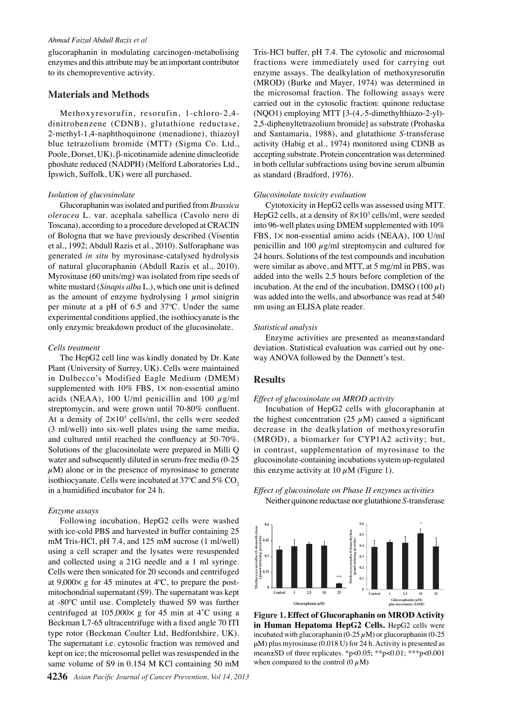#### *Ahmad Faizal Abdull Razis et al*

glucoraphanin in modulating carcinogen-metabolising enzymes and this attribute may be an important contributor to its chemopreventive activity.

#### **Materials and Methods**

Methoxyresorufin, resorufin, 1-chloro-2,4 dinitrobenzene (CDNB), glutathione reductase, 2-methyl-1,4-naphthoquinone (menadione), thiazoyl blue tetrazolium bromide (MTT) (Sigma Co. Ltd., Poole, Dorset, UK), β-nicotinamide adenine dinucleotide phoshate reduced (NADPH) (Melford Laboratories Ltd., Ipswich, Suffolk, UK) were all purchased.

#### *Isolation of glucosinolate*

Glucoraphanin was isolated and purified from *Brassica oleracea* L. var. acephala sabellica (Cavolo nero di Toscana), according to a procedure developed at CRACIN of Bologna that we have previously described (Visentin et al., 1992; Abdull Razis et al., 2010). Sulforaphane was generated *in situ* by myrosinase-catalysed hydrolysis of natural glucoraphanin (Abdull Razis et al., 2010). Myrosinase (60 units/mg) was isolated from ripe seeds of white mustard (*Sinapis alba* L.), which one unit is defined as the amount of enzyme hydrolysing 1  $\mu$ mol sinigrin per minute at a pH of 6.5 and 37ºC. Under the same experimental conditions applied, the isothiocyanate is the only enzymic breakdown product of the glucosinolate.

#### *Cells treatment*

The HepG2 cell line was kindly donated by Dr. Kate Plant (University of Surrey, UK). Cells were maintained in Dulbecco's Modified Eagle Medium (DMEM) supplemented with  $10\%$  FBS,  $1\times$  non-essential amino acids (NEAA), 100 U/ml penicillin and 100  $\mu$ g/ml streptomycin, and were grown until 70-80% confluent. At a density of  $2\times10^5$  cells/ml, the cells were seeded (3 ml/well) into six-well plates using the same media, and cultured until reached the confluency at 50-70%. Solutions of the glucosinolate were prepared in Milli Q water and subsequently diluted in serum-free media (0-25  $\mu$ M) alone or in the presence of myrosinase to generate isothiocyanate. Cells were incubated at  $37^{\circ}$ C and  $5\%$  CO<sub>2</sub> in a humidified incubator for 24 h.

#### *Enzyme assays*

Following incubation, HepG2 cells were washed with ice-cold PBS and harvested in buffer containing 25 mM Tris-HCl, pH 7.4, and 125 mM sucrose (1 ml/well) using a cell scraper and the lysates were resuspended and collected using a 21G needle and a 1 ml syringe. Cells were then sonicated for 20 seconds and centrifuged at  $9,000 \times g$  for 45 minutes at 4°C, to prepare the postmitochondrial supernatant (S9). The supernatant was kept at -80ºC until use. Completely thawed S9 was further centrifuged at  $105,000 \times g$  for 45 min at 4°C using a Beckman L7-65 ultracentrifuge with a fixed angle 70 ITI type rotor (Beckman Coulter Ltd, Bedfordshire, UK). The supernatant i.e. cytosolic fraction was removed and kept on ice; the microsomal pellet was resuspended in the same volume of S9 in 0.154 M KCl containing 50 mM

Tris-HCl buffer, pH 7.4. The cytosolic and microsomal fractions were immediately used for carrying out enzyme assays. The dealkylation of methoxyresorufin (MROD) (Burke and Mayer, 1974) was determined in the microsomal fraction. The following assays were carried out in the cytosolic fraction: quinone reductase (NQO1) employing MTT [3-(4,-5-dimethylthiazo-2-yl)- 2,5-diphenyltetrazolium bromide] as substrate (Prohaska and Santamaria, 1988), and glutathione *S*-transferase activity (Habig et al., 1974) monitored using CDNB as accepting substrate. Protein concentration was determined in both cellular subfractions using bovine serum albumin as standard (Bradford, 1976).

#### *Glucosinolate toxicity evaluation*

Cytotoxicity in HepG2 cells was assessed using MTT. HepG2 cells, at a density of  $8\times10^3$  cells/ml, were seeded into 96-well plates using DMEM supplemented with 10% FBS, 1× non-essential amino acids (NEAA), 100 U/ml penicillin and 100  $\mu$ g/ml streptomycin and cultured for 24 hours. Solutions of the test compounds and incubation were similar as above, and MTT, at 5 mg/ml in PBS, was added into the wells 2.5 hours before completion of the incubation. At the end of the incubation, DMSO (100  $\mu$ l) was added into the wells, and absorbance was read at 540 nm using an ELISA plate reader.

#### *Statistical analysis*

Enzyme activities are presented as mean±standard deviation. Statistical evaluation was carried out by oneway ANOVA followed by the Dunnett's test.

#### **Results**

#### *Effect of glucosinolate on MROD activity*

Incubation of HepG2 cells with glucoraphanin at the highest concentration (25  $\mu$ M) caused a significant decrease in the dealkylation of methoxyresorufin **0.6** (MROD), a biomarker for CYP1A2 activity; but, **0.45** in contrast, supplementation of myrosinase to the **0.3** glucosinolate-containing incubations system up-regulated this enzyme activity at  $10 \mu M$  (Figure 1). **Methoxyresorufin** *O***-demethylase (pmol/min/mg protein)**

## Effect of glucosinolate on Phase II enzymes activities  $\tilde{\text{N}^{\text{c}}}_{\text{S}^{\text{c}}}$  are reductase nor glutathione *S*-transferase



**Figure 1. Effect of Glucoraphanin on MROD Activity in Human Hepatoma HepG2 Cells.** HepG2 cells were incubated with glucoraphanin  $(0-25 \mu M)$  or glucoraphanin  $(0-25 \mu M)$ μM) plus myrosinase (0.018 U) for 24 h. Activity is presented as mean±SD of three replicates. \*p<0.05; \*\*p<0.01; \*\*\*p<0.001 **0.5** when compared to the control  $(0 \mu M)$ **Methoxyresorufin** *O***-demethylase (pmol/min/mg protein)**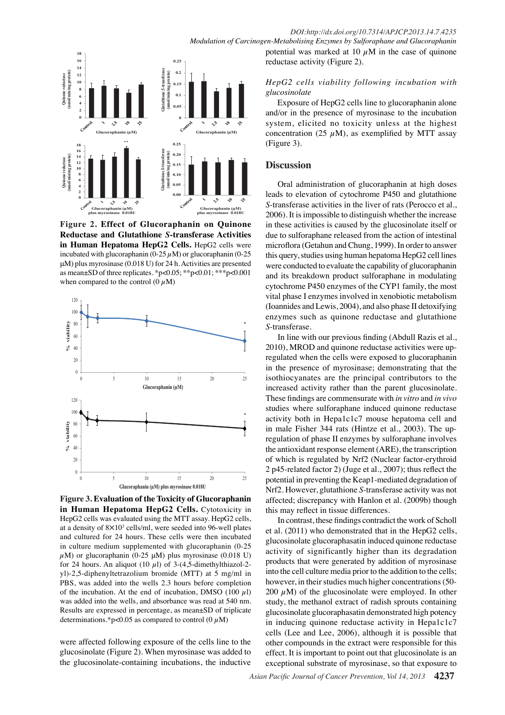*Modulation of Carcinogen-Metabolising Enzymes by Sulforaphane and Glucoraphanin*



incubated with glucoraphanin ( $0-25 \mu$ M) or glucoraphanin ( $0-25$ **Reductase and Glutathione S-transferase Activities** 120 as mean±SD of three replicates. \*p<0.05; \*\*p<0.01; \*\*\*p<0.001 **Figure 2. Effect of Glucoraphanin on Quinone 0.00 0 2** in Human Hepatoma HepG2 Cells. HepG2 cells were μM) plus myrosinase (0.018 U) for 24 h. Activities are presented when compared to the control  $(0 \mu M)$ 



Figure 3. Evaluation of the Toxicity of Glucoraphanin **in Human Hepatoma HepG2 Cells.** Cytotoxicity in HepG2 cells was evaluated using the MTT assay. HepG2 cells, at a density of  $8 \times 10^3$  cells/ml, were seeded into 96-well plates and cultured for 24 hours. These cells were then incubated in culture medium supplemented with glucoraphanin (0-25  $\mu$ M) or glucoraphanin (0-25  $\mu$ M) plus myrosinase (0.018 U) for 24 hours. An aliquot (10  $\mu$ l) of 3-(4,5-dimethylthiazol-2yl)-2,5-diphenyltetrazolium bromide (MTT) at 5 mg/ml in PBS, was added into the wells 2.3 hours before completion of the incubation. At the end of incubation, DMSO (100  $\mu$ l) was added into the wells, and absorbance was read at 540 nm. Results are expressed in percentage, as mean±SD of triplicate determinations.\*p<0.05 as compared to control  $(0 \mu M)$ 

were affected following exposure of the cells line to the glucosinolate (Figure 2). When myrosinase was added to the glucosinolate-containing incubations, the inductive

potential was marked at 10  $\mu$ M in the case of quinone reductase activity (Figure 2).

### *HepG2 cells viability following incubation with glucosinolate*

Exposure of HepG2 cells line to glucoraphanin alone and/or in the presence of myrosinase to the incubation system, elicited no toxicity unless at the highest concentration (25  $\mu$ M), as exemplified by MTT assay (Figure 3).

### **Discussion**

Oral administration of glucoraphanin at high doses leads to elevation of cytochrome P450 and glutathione *S*-transferase activities in the liver of rats (Perocco et al., 2006). It is impossible to distinguish whether the increase in these activities is caused by the glucosinolate itself or due to sulforaphane released from the action of intestinal microflora (Getahun and Chung, 1999). In order to answer this query, studies using human hepatoma HepG2 cell lines were conducted to evaluate the capability of glucoraphanin and its breakdown product sulforaphane in modulating cytochrome P450 enzymes of the CYP1 family, the most vital phase I enzymes involved in xenobiotic metabolism (Ioannides and Lewis, 2004), and also phase II detoxifying enzymes such as quinone reductase and glutathione *S*-transferase.

In line with our previous finding (Abdull Razis et al., 2010), MROD and quinone reductase activities were upregulated when the cells were exposed to glucoraphanin in the presence of myrosinase; demonstrating that the isothiocyanates are the principal contributors to the increased activity rather than the parent glucosinolate. These findings are commensurate with *in vitro* and *in vivo* studies where sulforaphane induced quinone reductase activity both in Hepa1c1c7 mouse hepatoma cell and in male Fisher 344 rats (Hintze et al., 2003). The upregulation of phase II enzymes by sulforaphane involves the antioxidant response element (ARE), the transcription of which is regulated by Nrf2 (Nuclear factor-erythroid 2 p45-related factor 2) (Juge et al., 2007); thus reflect the potential in preventing the Keap1-mediated degradation of Nrf2. However, glutathione *S*-transferase activity was not affected; discrepancy with Hanlon et al. (2009b) though this may reflect in tissue differences.

In contrast, these findings contradict the work of Scholl et al. (2011) who demonstrated that in the HepG2 cells, glucosinolate glucoraphasatin induced quinone reductase activity of significantly higher than its degradation products that were generated by addition of myrosinase into the cell culture media prior to the addition to the cells; however, in their studies much higher concentrations (50- 200  $\mu$ M) of the glucosinolate were employed. In other study, the methanol extract of radish sprouts containing glucosinolate glucoraphasatin demonstrated high potency in inducing quinone reductase activity in Hepa1c1c7 cells (Lee and Lee, 2006), although it is possible that other compounds in the extract were responsible for this effect. It is important to point out that glucosinolate is an exceptional substrate of myrosinase, so that exposure to